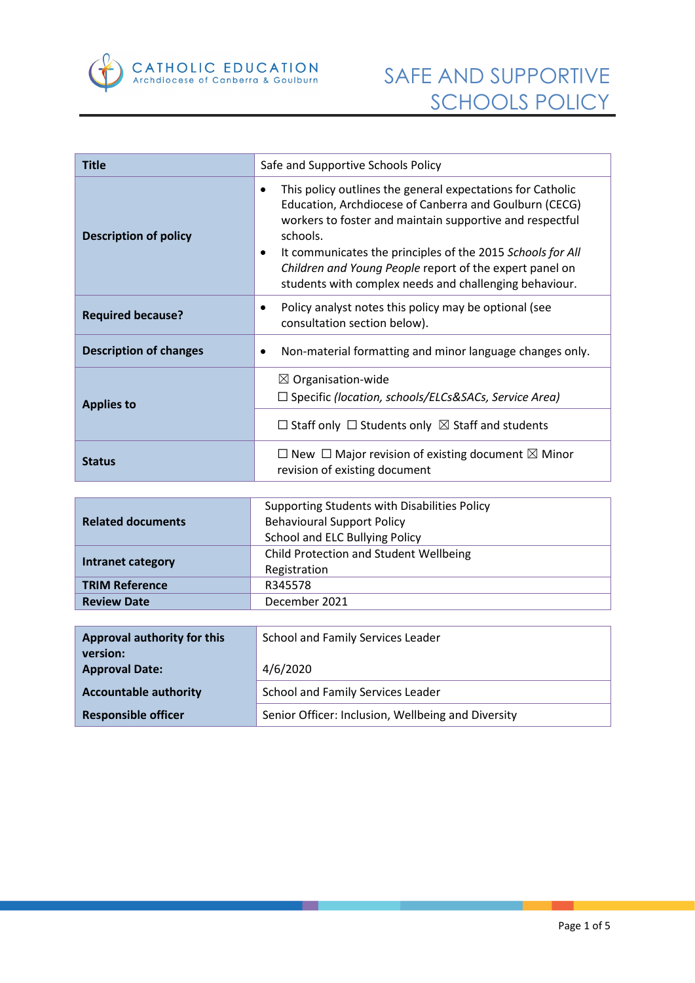

| <b>Title</b>                  | Safe and Supportive Schools Policy                                                                                                                                                                                                                                                                                                                                                                |  |
|-------------------------------|---------------------------------------------------------------------------------------------------------------------------------------------------------------------------------------------------------------------------------------------------------------------------------------------------------------------------------------------------------------------------------------------------|--|
| <b>Description of policy</b>  | This policy outlines the general expectations for Catholic<br>$\bullet$<br>Education, Archdiocese of Canberra and Goulburn (CECG)<br>workers to foster and maintain supportive and respectful<br>schools.<br>It communicates the principles of the 2015 Schools for All<br>٠<br>Children and Young People report of the expert panel on<br>students with complex needs and challenging behaviour. |  |
| <b>Required because?</b>      | Policy analyst notes this policy may be optional (see<br>٠<br>consultation section below).                                                                                                                                                                                                                                                                                                        |  |
| <b>Description of changes</b> | Non-material formatting and minor language changes only.<br>٠                                                                                                                                                                                                                                                                                                                                     |  |
| <b>Applies to</b>             | $\boxtimes$ Organisation-wide<br>$\Box$ Specific (location, schools/ELCs&SACs, Service Area)<br>$\Box$ Staff only $\Box$ Students only $\boxtimes$ Staff and students                                                                                                                                                                                                                             |  |
| <b>Status</b>                 | $\Box$ New $\Box$ Major revision of existing document $\boxtimes$ Minor<br>revision of existing document                                                                                                                                                                                                                                                                                          |  |

|                          | Supporting Students with Disabilities Policy |  |
|--------------------------|----------------------------------------------|--|
| <b>Related documents</b> | <b>Behavioural Support Policy</b>            |  |
|                          | School and ELC Bullying Policy               |  |
| Intranet category        | Child Protection and Student Wellbeing       |  |
|                          | Registration                                 |  |
| <b>TRIM Reference</b>    | R345578                                      |  |
| <b>Review Date</b>       | December 2021                                |  |

| Approval authority for this       | School and Family Services Leader                  |  |
|-----------------------------------|----------------------------------------------------|--|
| version:<br><b>Approval Date:</b> | 4/6/2020                                           |  |
| <b>Accountable authority</b>      | School and Family Services Leader                  |  |
| <b>Responsible officer</b>        | Senior Officer: Inclusion, Wellbeing and Diversity |  |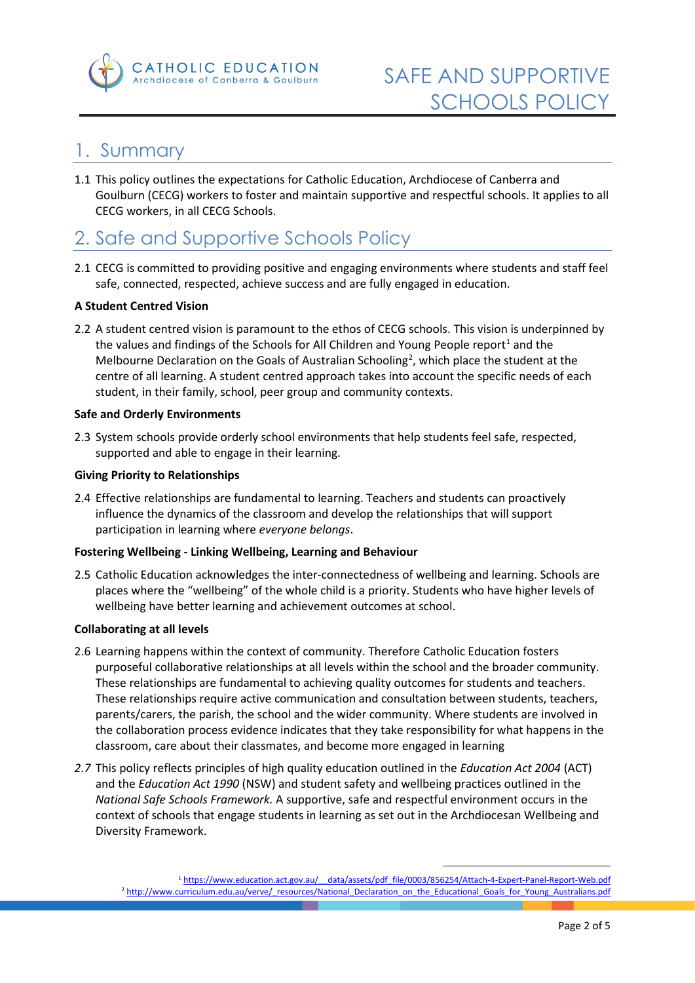

### 1. Summary

1.1 This policy outlines the expectations for Catholic Education, Archdiocese of Canberra and Goulburn (CECG) workers to foster and maintain supportive and respectful schools. It applies to all CECG workers, in all CECG Schools.

## 2. Safe and Supportive Schools Policy

2.1 CECG is committed to providing positive and engaging environments where students and staff feel safe, connected, respected, achieve success and are fully engaged in education.

#### **A Student Centred Vision**

2.2 A student centred vision is paramount to the ethos of CECG schools. This vision is underpinned by the values and findings of the Schools for All Children and Young People report<sup>[1](#page-1-0)</sup> and the Melbourne Declaration on the Goals of Australian Schooling<sup>[2](#page-1-1)</sup>, which place the student at the centre of all learning. A student centred approach takes into account the specific needs of each student, in their family, school, peer group and community contexts.

#### **Safe and Orderly Environments**

2.3 System schools provide orderly school environments that help students feel safe, respected, supported and able to engage in their learning.

#### **Giving Priority to Relationships**

2.4 Effective relationships are fundamental to learning. Teachers and students can proactively influence the dynamics of the classroom and develop the relationships that will support participation in learning where *everyone belongs*.

#### **Fostering Wellbeing - Linking Wellbeing, Learning and Behaviour**

2.5 Catholic Education acknowledges the inter-connectedness of wellbeing and learning. Schools are places where the "wellbeing" of the whole child is a priority. Students who have higher levels of wellbeing have better learning and achievement outcomes at school.

#### **Collaborating at all levels**

- 2.6 Learning happens within the context of community. Therefore Catholic Education fosters purposeful collaborative relationships at all levels within the school and the broader community. These relationships are fundamental to achieving quality outcomes for students and teachers. These relationships require active communication and consultation between students, teachers, parents/carers, the parish, the school and the wider community. Where students are involved in the collaboration process evidence indicates that they take responsibility for what happens in the classroom, care about their classmates, and become more engaged in learning
- *2.7* This policy reflects principles of high quality education outlined in the *Education Act 2004* (ACT) and the *Education Act 1990* (NSW) and student safety and wellbeing practices outlined in the *National Safe Schools Framework.* A supportive, safe and respectful environment occurs in the context of schools that engage students in learning as set out in the Archdiocesan Wellbeing and Diversity Framework.

1

<span id="page-1-1"></span><span id="page-1-0"></span><sup>1</sup> [https://www.education.act.gov.au/\\_\\_data/assets/pdf\\_file/0003/856254/Attach-4-Expert-Panel-Report-Web.pdf](https://www.education.act.gov.au/__data/assets/pdf_file/0003/856254/Attach-4-Expert-Panel-Report-Web.pdf) <sup>2</sup> [http://www.curriculum.edu.au/verve/\\_resources/National\\_Declaration\\_on\\_the\\_Educational\\_Goals\\_for\\_Young\\_Australians.pdf](http://www.curriculum.edu.au/verve/_resources/National_Declaration_on_the_Educational_Goals_for_Young_Australians.pdf)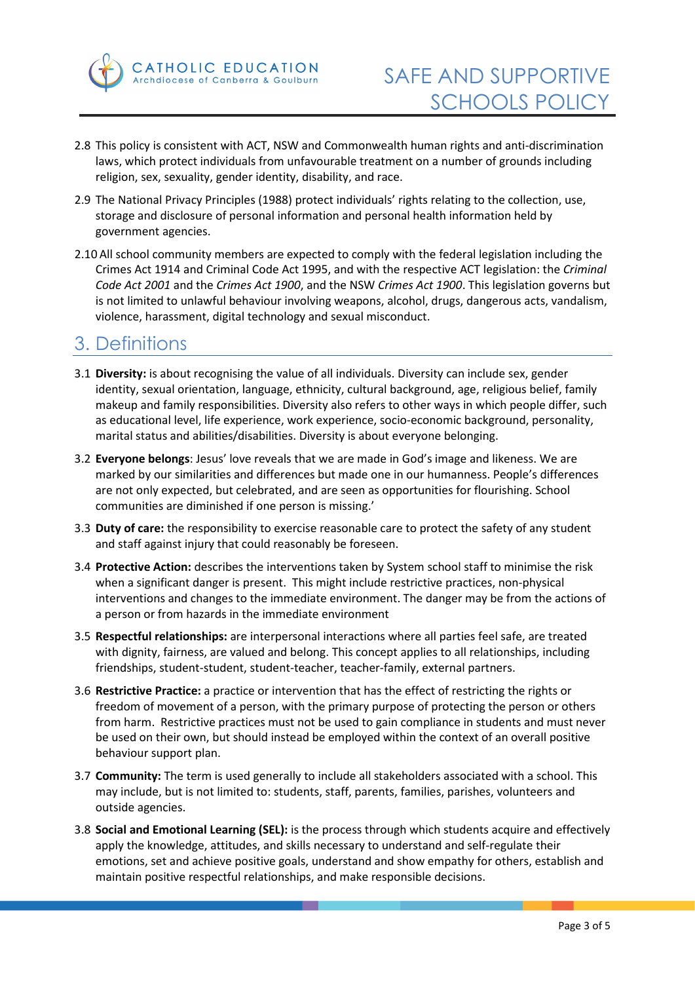

- 2.8 This policy is consistent with ACT, NSW and Commonwealth human rights and anti-discrimination laws, which protect individuals from unfavourable treatment on a number of grounds including religion, sex, sexuality, gender identity, disability, and race.
- 2.9 The National Privacy Principles (1988) protect individuals' rights relating to the collection, use, storage and disclosure of personal information and personal health information held by government agencies.
- 2.10 All school community members are expected to comply with the federal legislation including the Crimes Act 1914 and Criminal Code Act 1995, and with the respective ACT legislation: the *Criminal Code Act 2001* and the *Crimes Act 1900*, and the NSW *Crimes Act 1900*. This legislation governs but is not limited to unlawful behaviour involving weapons, alcohol, drugs, dangerous acts, vandalism, violence, harassment, digital technology and sexual misconduct.

### 3. Definitions

- 3.1 **Diversity:** is about recognising the value of all individuals. Diversity can include sex, gender identity, sexual orientation, language, ethnicity, cultural background, age, religious belief, family makeup and family responsibilities. Diversity also refers to other ways in which people differ, such as educational level, life experience, work experience, socio-economic background, personality, marital status and abilities/disabilities. Diversity is about everyone belonging.
- 3.2 **Everyone belongs**: Jesus' love reveals that we are made in God's image and likeness. We are marked by our similarities and differences but made one in our humanness. People's differences are not only expected, but celebrated, and are seen as opportunities for flourishing. School communities are diminished if one person is missing.'
- 3.3 **Duty of care:** the responsibility to exercise reasonable care to protect the safety of any student and staff against injury that could reasonably be foreseen.
- 3.4 **Protective Action:** describes the interventions taken by System school staff to minimise the risk when a significant danger is present. This might include restrictive practices, non-physical interventions and changes to the immediate environment. The danger may be from the actions of a person or from hazards in the immediate environment
- 3.5 **Respectful relationships:** are interpersonal interactions where all parties feel safe, are treated with dignity, fairness, are valued and belong. This concept applies to all relationships, including friendships, student-student, student-teacher, teacher-family, external partners.
- 3.6 **Restrictive Practice:** a practice or intervention that has the effect of restricting the rights or freedom of movement of a person, with the primary purpose of protecting the person or others from harm. Restrictive practices must not be used to gain compliance in students and must never be used on their own, but should instead be employed within the context of an overall positive behaviour support plan.
- 3.7 **Community:** The term is used generally to include all stakeholders associated with a school. This may include, but is not limited to: students, staff, parents, families, parishes, volunteers and outside agencies.
- 3.8 **Social and Emotional Learning (SEL):** is the process through which students acquire and effectively apply the knowledge, attitudes, and skills necessary to understand and self-regulate their emotions, set and achieve positive goals, understand and show empathy for others, establish and maintain positive respectful relationships, and make responsible decisions.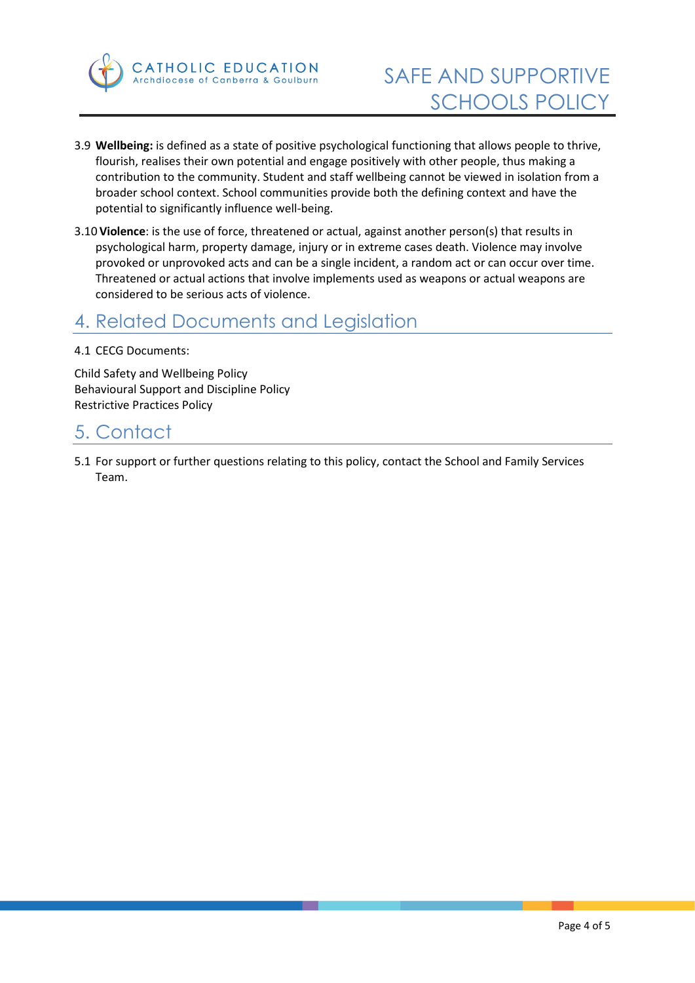

- 3.9 **Wellbeing:** is defined as a state of positive psychological functioning that allows people to thrive, flourish, realises their own potential and engage positively with other people, thus making a contribution to the community. Student and staff wellbeing cannot be viewed in isolation from a broader school context. School communities provide both the defining context and have the potential to significantly influence well-being.
- 3.10 **Violence**: is the use of force, threatened or actual, against another person(s) that results in psychological harm, property damage, injury or in extreme cases death. Violence may involve provoked or unprovoked acts and can be a single incident, a random act or can occur over time. Threatened or actual actions that involve implements used as weapons or actual weapons are considered to be serious acts of violence.

### 4. Related Documents and Legislation

#### 4.1 CECG Documents:

Child Safety and Wellbeing Policy Behavioural Support and Discipline Policy Restrictive Practices Policy

### 5. Contact

5.1 For support or further questions relating to this policy, contact the School and Family Services Team.